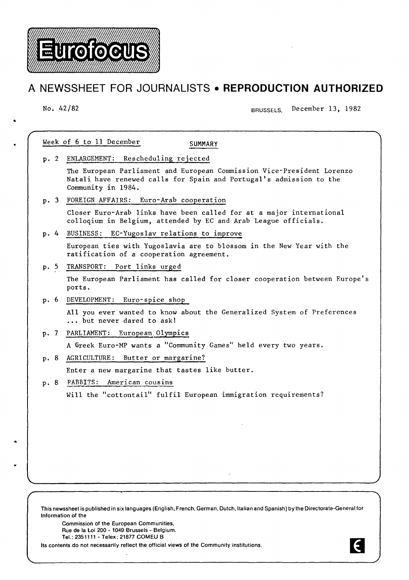

# **A NEWSSHEET FOR JOURNALISTS • REPRODUCTION AUTHORIZED**

..

No. 42/82 BRUSSELS, December 13, 1982

| Week of 6 to 11 December<br>SUMMARY |                                                                                                                                                                     |
|-------------------------------------|---------------------------------------------------------------------------------------------------------------------------------------------------------------------|
|                                     | p. 2 ENLARGEMENT: Rescheduling rejected                                                                                                                             |
|                                     | The European Parliament and European Commission Vice-President Lorenzo<br>Natali have renewed calls for Spain and Portugal's admission to the<br>Community in 1984. |
|                                     | p. 3 FOREIGN AFFAIRS: Euro-Arab cooperation                                                                                                                         |
|                                     | Closer Euro-Arab links have been called for at a major international<br>colloqium in Belgium, attended by EC and Arab League officials.                             |
|                                     | p. 4 BUSINESS: EC-Yugoslav relations to improve                                                                                                                     |
|                                     | European ties with Yugoslavia are to blossom in the New Year with the<br>ratification of a cooperation agreement.                                                   |
| p.5                                 | TRANSPORT: Port links urged                                                                                                                                         |
|                                     | The European Parliament has called for closer cooperation between Europe's<br>ports.                                                                                |
| p.6                                 | DEVELOPMENT: Euro-spice shop                                                                                                                                        |
|                                     | All you ever wanted to know about the Generalized System of Preferences<br>but never dared to ask!                                                                  |
|                                     | p. 7 PARLIAMENT:<br>European Olympics                                                                                                                               |
|                                     | A Greek Euro-MP wants a "Community Games" held every two years.                                                                                                     |
| p.8                                 | Butter or margarine?<br>AGRICULTURE:                                                                                                                                |
|                                     | Enter a new margarine that tastes like butter.                                                                                                                      |
| p. 8                                | <b>FABBITS:</b><br>American cousins                                                                                                                                 |
|                                     | Will the "cottontail" fulfil European immigration requirements?                                                                                                     |
|                                     |                                                                                                                                                                     |
|                                     |                                                                                                                                                                     |
|                                     |                                                                                                                                                                     |
|                                     |                                                                                                                                                                     |
|                                     |                                                                                                                                                                     |
|                                     |                                                                                                                                                                     |
|                                     |                                                                                                                                                                     |
|                                     |                                                                                                                                                                     |

his newssheet is published in six languages (English, French, German, Dutch, Italian and Spanish) by Information of the

Commission of the European Communities, Rue de Ia Loi 200- 1049 Brussels- Belgium. Tel.: 2351111- Telex: 21877 COMEU B

Its contents do not necessarily reflect the official views of the Community institutions.

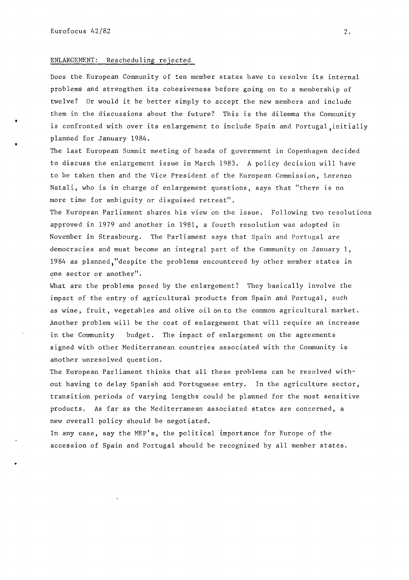•

•

#### ENLARGEMENT: Rescheduling rejected

Does the European Community of ten member states have to resolve its internal problems and strengthen its cohesiveness before going on to a membership of twelve? Or would it be better simply to accept the new members and include them in the discussions about the future? This is the dilemma the Community is confronted with over its enlargement to include Spain and Portugal, initially planned for January 1984 .

The last European Summit meeting of heads of government in Copenhagen decided to discuss the enlargement issue in March 1983. A policy decision will have to be taken then and the Vice President of the European Commission, Lorenzo Natali, who is in charge of enlargement questions, says that "there is no more time for ambiguity or disguised retreat".

The European Parliament shares his view on the issue, Following two resolutions approved in 1979 and another in 1981, a fourth resolution was adopted in November in Strasbourg. The Parliament says that Spain and Portugal are democracies and must become an integral part of the Community on January 1, 1984 as planned,"despite the problems encountered by other member states in one sector or another".

What are the problems posed by the enlargement? They basically involve the impact of the entry of agricultural products from Spain and Portugal, such as wine, fruit, vegetables and olive oil on to the common agricultural market. Another problem will be the cost of enlargement that will require an increase in the Community budget. The impact of enlargement on the agreements signed with other Mediterranean countries associated with the Community is another unresolved question.

The European Parliament thinks that all these problems can be resolved without having to delay Spanish and Portuguese entry. In the agriculture sector, transition periods of varying lengths could be planned for the most sensitive products. As far as the Mediterranean associated states are concerned, a new overall policy should be negotiated.

In any case, say the MEP's, the political importance for Europe of the accession of Spain and Portugal should be recognized by all member states.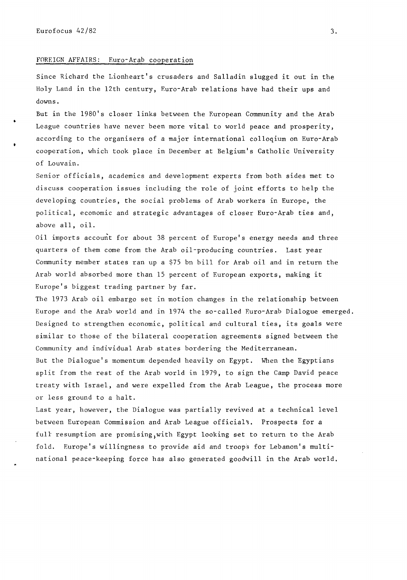# FOREIGN AFFAIRS: Euro-Arab cooperation

Since Richard the Lionheart's crusaders and Salladin slugged it out in the Holy Land in the 12th century, Euro-Arab relations have had their ups and downs.

But in the 1980's closer links between the European Community and the Arab League countries have never been more vital to world peace and prosperity, according to the organisers of a major international colloqium on Euro-Arab cooperation, which took place in December at Belgium's Catholic University of Louvain.

Senior officials, academics and development experts from both sides met to discuss cooperation issues including the role of joint efforts to help the developing countries, the social problems of Arab workers in Europe, the political, economic and strategic advantages of closer Euro-Arab ties and, above all, oil.

Oil imports account for about 38 percent of Europe's energy needs and three quarters of them come from the Arab oil-producing countries. Last year Community member states ran up a \$75 bn bill for Arab oil and in return the Arab world absorbed more than 15 percent of European exports, making it Europe's biggest trading partner by far.

The 1973 Arab oil embargo set in motion changes in the relationship between Europe and the Arab world and in 1974 the so-called Euro-Arab Dialogue emerged. Designed to strengthen economic, political and cultural ties, its goals were similar to those of the bilateral cooperation agreements signed between the Community and individual Arab states bordering the Mediterranean.

But the Dialogue's momentum depended heavily on Egypt. When the Egyptians split from the rest of the Arab world in 1979, to sign the Camp David peace treaty with Israel, and were expelled from the Arab League, the process more or less ground to a halt.

Last year, however, the Dialogue was partially revived at a technical level between European Commission and Arab League official<sup>s</sup>. Prospects for a full resumption are promising,with Egypt looking set to return to the Arab fold. Europe's willingness to provide aid and troops for Lebanon's multinational peace-keeping force has also generated goodwill in the Arab world.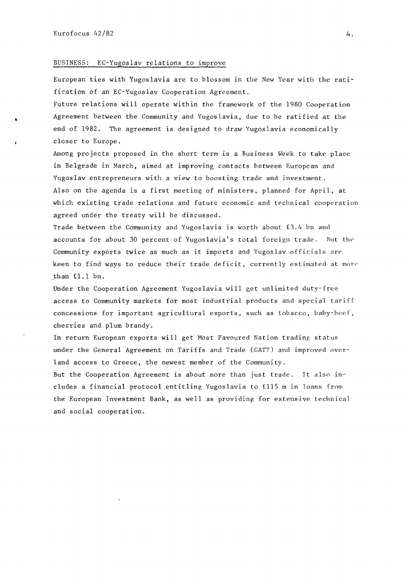•

# BUSINESS: EC-Yugoslav relations to improve

European ties with Yugoslavia are to blossom in the New Year with the ratification of an EC-Yugoslav Cooperation Agreement.

Future relations will operate within the framework of the 1980 Cooperation Agreement between the Community and Yugoslavia, due to be ratified at the end of 1982. The agreement is designed to draw Yugoslavia economically closer to Europe.

Among projects proposed in the short term is a Business Week to take place in Belgrade in March, aimed at improving contacts between European and Yugoslav entrepreneurs with a view to boosting trade and investment. Also on the agenda is a first meeting of ministers, planned for April, at which existing trade relations and future economic and technical cooperation agreed under the treaty will be discussed.

Trade between the Community and Yugoslavia is worth about £3.4 bn and accounts for about 30 percent of Yugoslavia's total foreign trade. But the Community exports twice as much as it imports and Yugoslav officials are keen to find ways to reduce their trade deficit, currently estimated at more .than £1.1 bn.

Under the Cooperation Agreement Yugoslavia will get unlimited duty-free access to Community markets for most industrial products and special tariff concessions for important agricultural exports, such as tobacco, baby-beef, cherries and plum brandy.

In return European exports will get Most Favoured Nation trading status under the General Agreement on Tariffs and Trade (GATT) and improved overland access to Greece, the newest member of the Community.

But the Cooperation Agreement is about more than just trade. It also includes a financial protocol entitling Yugoslavia to £115 m in loans from the European Investment Bank, as well as providing for extensive technical and social cooperation.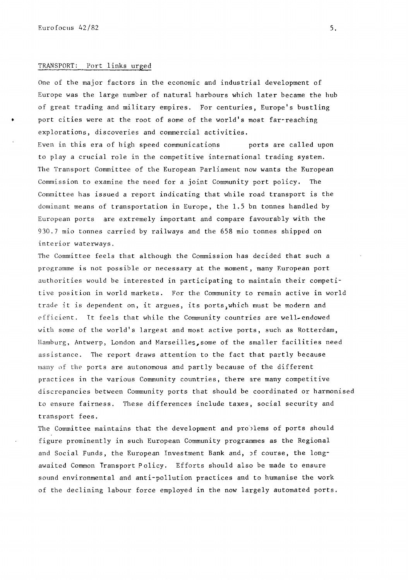### TRANSPORT: Port links urged

One of the major factors in the economic and industrial development of Europe was the large number of natural harbours which later became the hub of great trading and military empires. For centuries, Europe's bustling port cities were at the root of some of the world's most far-reaching explorations, discoveries and commercial activities.

Even in this era of high speed communications borts are called upon to play a crucial role in the competitive international trading system. The Transport Committee of the European Parliament now wants the European Commission to examine the need for a joint Community port policy. The Committee has issued a report indicating that while road transport is the dominant means of transportation in Europe, the 1.5 bn tonnes handled by European ports are extremely important and compare favourably with the 930.7 mio tonnes carried by railways and the 658 mio tonnes shipped on interior waterways.

The Committee feels that although the Commission has decided that such a programme is not possible or necessary at the moment, many European port authorities would be interested in participating to maintain their competitive position in world markets. For the Community to remain active in world trade it is dependent on, it argues, its ports, which must be modern and efficient. It feels that while the Community countries are well-endowed with some of the world's largest and most active ports, such as Rotterdam, Hamburg, Antwerp, London and Narseilles,some of the smaller facilities need assistance. The report draws attention to the fact that partly because many of the ports are autonomous and partly because of the different practices in the various Community countries, there are many competitive discrepancies between Community ports that should be coordinated or harmonised to ensure fairness. These differences include taxes, social security and transport fees.

The Committee maintains that the development and problems of ports should figure prominently in such European Community programmes as the Regional and Social Funds, the European Investment Bank and, Jf course, the longawaited Common Transport Policy, Efforts should also be made to ensure sound environmental and anti-pollution practices and to humanise the work of the declining labour force employed in the now largely automated ports.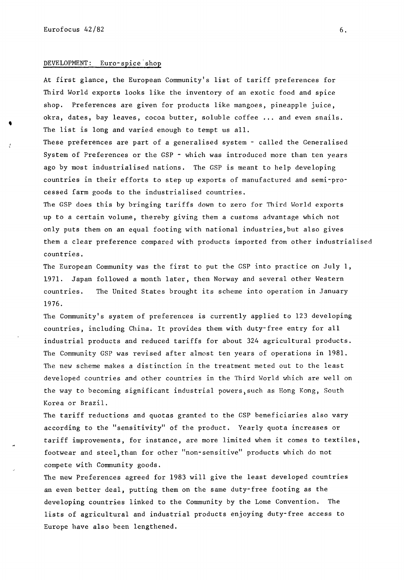•

#### DEVELOPMENT: Euro-spice'shop

At first glance, the European Community's list of tariff preferences for Third World exports looks like the inventory of an exotic food and spice shop. Preferences are given for products like mangoes, pineapple juice, okra, dates, bay leaves, cocoa butter, soluble coffee ... and even snails . The list is long and varied enough to tempt us all.

These preferences are part of a generalised system - called the Generalised System of Preferences or the GSP - which was introduced more than ten years ago by most industrialised nations. The GSP is meant to help developing countries in their efforts to step up exports of manufactured and semi-processed farm goods to the industrialised countries.

The GSP does this by bringing tariffs down to zero for Third World exports up to a certain volume, thereby giving them a customs advantage which not only puts them on an equal footing with national industries, but also gives them a clear preference compared with products imported from other industrialised countries.

The European Community was the first to put the GSP into practice on July 1, 1971. Japan followed a month later, then Norway and several other Western countries. The United States brought its scheme into operation in January 1976.

The Community's system of preferences is currently applied to 123 developing countries, including China. It provides them with duty-free entry for all industrial products and reduced tariffs for about 324 agricultural products. The Community GSP was revised after almost ten years of operations in 1981. The new scheme makes a distinction in the treatment meted out to the least developed countries and other countries in the Third World which are well on the way to becoming significant industrial powers, such as Hong Kong, South Korea or Brazil.

The tariff reductions and quotas granted to the GSP beneficiaries also vary according to the "sensitivity" of the product. Yearly quota increases or tariff improvements, for instance, are more limited when it comes to textiles, footwear and steel, than for other "non-sensitive" products which do not compete with Community goods.

The new Preferences agreed for 1983 will give the least developed countries an even better deal, putting them on the same duty-free footing as the developing countries linked to the Community by the Lome Convention. The lists of agricultural and industrial products enjoying duty-free access to Europe have also been lengthened.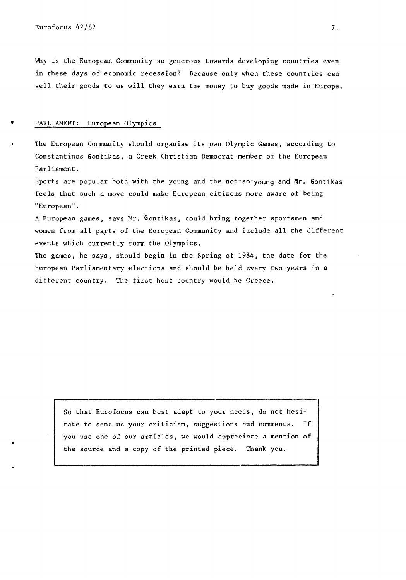...

Why is the European Community so generous towards developing countries even in these days of economic recession? Because only when these countries can sell their goods to us will they earn the money to buy goods made in Europe.

# PARLIAMENT: European Olympics

The European Community should organise its own Olympic Games, according to Constantinos Gontikas, a Greek Christian Democrat member of the European Parliament.

Sports are popular both with the young and the not-so-young and Mr. Gontikas feels that such a move could make European citizens more aware of being "European".

A European games, says Mr. Gontikas, could bring together sportsmen and women from all payts of the European Community and include all the different events which currently form the Olympics.

The games, he says, should begin in the Spring of 1984, the date for the European Parliamentary elections and should be held every two years in a different country. The first host country would be Greece.

So that Eurofocus can best adapt to your needs, do not hesitate to send us your criticism, suggestions and comments. If you use one of our articles, we would appreciate a mention of the source and a copy of the printed piece. Thank you.